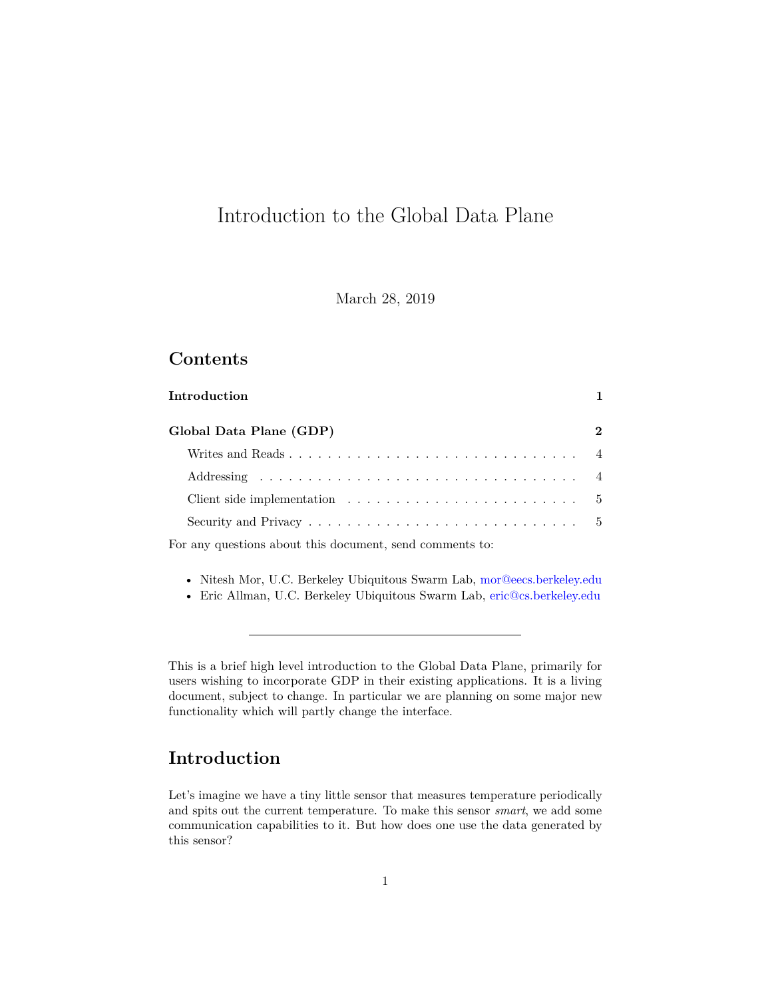# Introduction to the Global Data Plane

March 28, 2019

# **Contents**

| Introduction                                                                             |             |
|------------------------------------------------------------------------------------------|-------------|
| Global Data Plane (GDP)                                                                  | $2^{\circ}$ |
|                                                                                          |             |
|                                                                                          |             |
| Client side implementation $\dots \dots \dots \dots \dots \dots \dots \dots \dots \dots$ |             |
|                                                                                          |             |
|                                                                                          |             |

For any questions about this document, send comments to:

- Nitesh Mor, U.C. Berkeley Ubiquitous Swarm Lab, [mor@eecs.berkeley.edu](mailto:mor@eecs.berkeley.edu)
- Eric Allman, U.C. Berkeley Ubiquitous Swarm Lab, [eric@cs.berkeley.edu](mailto:eric@cs.berkeley.edu)

This is a brief high level introduction to the Global Data Plane, primarily for users wishing to incorporate GDP in their existing applications. It is a living document, subject to change. In particular we are planning on some major new functionality which will partly change the interface.

## <span id="page-0-0"></span>**Introduction**

Let's imagine we have a tiny little sensor that measures temperature periodically and spits out the current temperature. To make this sensor *smart*, we add some communication capabilities to it. But how does one use the data generated by this sensor?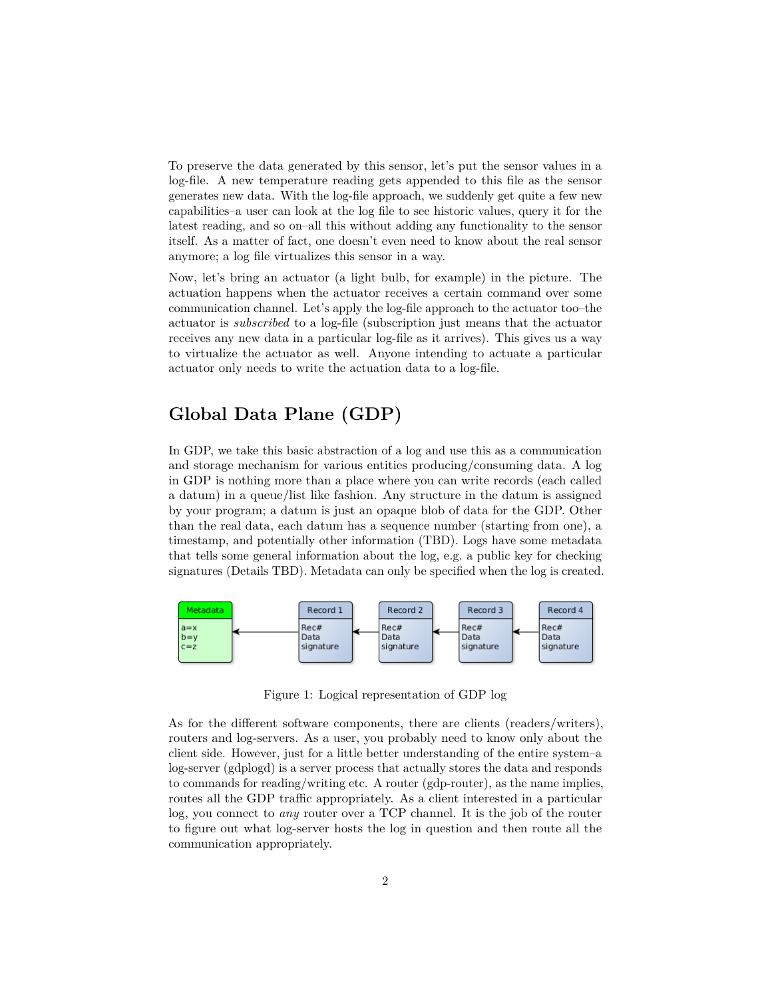To preserve the data generated by this sensor, let's put the sensor values in a log-file. A new temperature reading gets appended to this file as the sensor generates new data. With the log-file approach, we suddenly get quite a few new capabilities–a user can look at the log file to see historic values, query it for the latest reading, and so on–all this without adding any functionality to the sensor itself. As a matter of fact, one doesn't even need to know about the real sensor anymore; a log file virtualizes this sensor in a way.

Now, let's bring an actuator (a light bulb, for example) in the picture. The actuation happens when the actuator receives a certain command over some communication channel. Let's apply the log-file approach to the actuator too–the actuator is *subscribed* to a log-file (subscription just means that the actuator receives any new data in a particular log-file as it arrives). This gives us a way to virtualize the actuator as well. Anyone intending to actuate a particular actuator only needs to write the actuation data to a log-file.

# <span id="page-1-0"></span>**Global Data Plane (GDP)**

In GDP, we take this basic abstraction of a log and use this as a communication and storage mechanism for various entities producing/consuming data. A log in GDP is nothing more than a place where you can write records (each called a datum) in a queue/list like fashion. Any structure in the datum is assigned by your program; a datum is just an opaque blob of data for the GDP. Other than the real data, each datum has a sequence number (starting from one), a timestamp, and potentially other information (TBD). Logs have some metadata that tells some general information about the log, e.g. a public key for checking signatures (Details TBD). Metadata can only be specified when the log is created.



Figure 1: Logical representation of GDP log

As for the different software components, there are clients (readers/writers), routers and log-servers. As a user, you probably need to know only about the client side. However, just for a little better understanding of the entire system–a log-server (gdplogd) is a server process that actually stores the data and responds to commands for reading/writing etc. A router (gdp-router), as the name implies, routes all the GDP traffic appropriately. As a client interested in a particular log, you connect to *any* router over a TCP channel. It is the job of the router to figure out what log-server hosts the log in question and then route all the communication appropriately.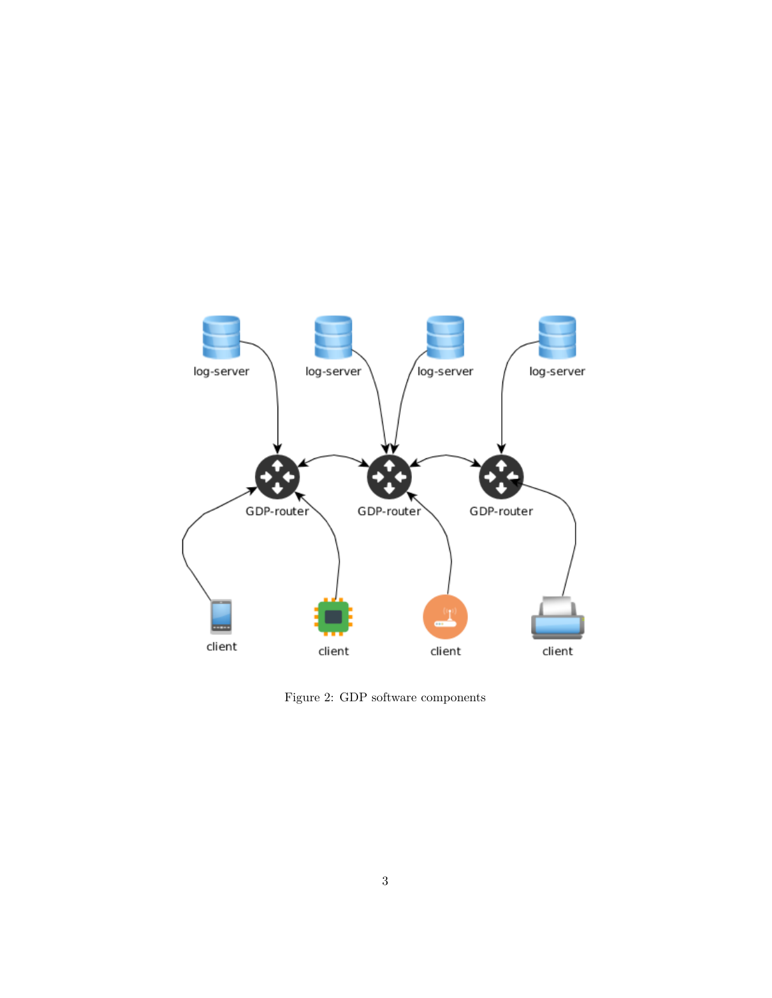

Figure 2: GDP software components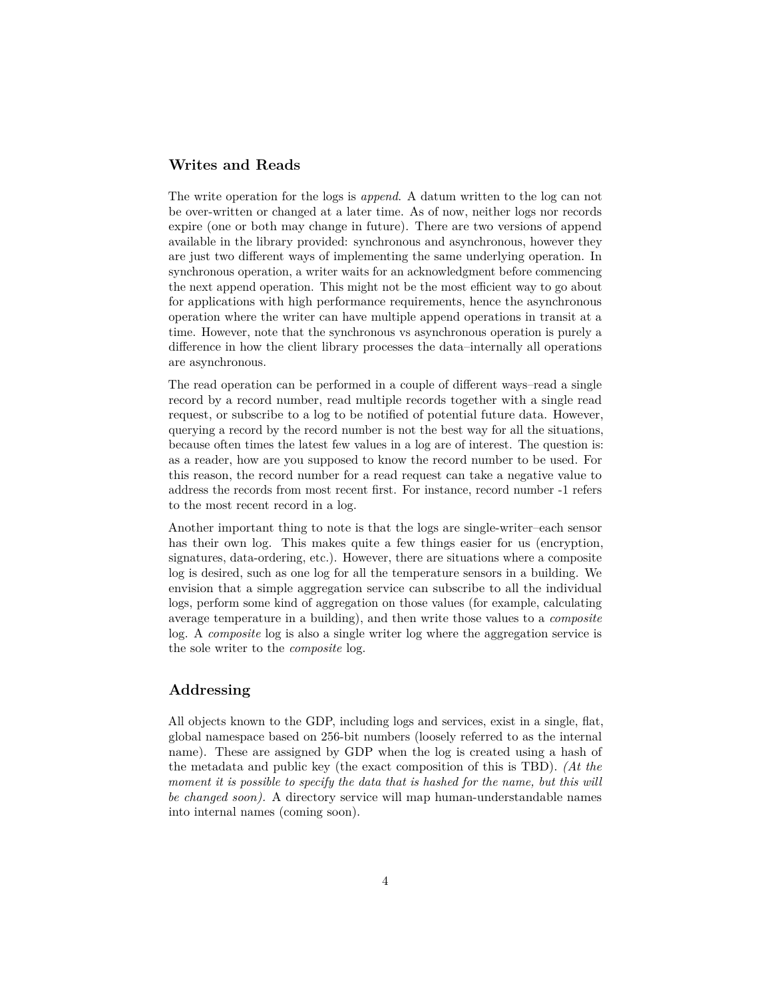## <span id="page-3-0"></span>**Writes and Reads**

The write operation for the logs is *append*. A datum written to the log can not be over-written or changed at a later time. As of now, neither logs nor records expire (one or both may change in future). There are two versions of append available in the library provided: synchronous and asynchronous, however they are just two different ways of implementing the same underlying operation. In synchronous operation, a writer waits for an acknowledgment before commencing the next append operation. This might not be the most efficient way to go about for applications with high performance requirements, hence the asynchronous operation where the writer can have multiple append operations in transit at a time. However, note that the synchronous vs asynchronous operation is purely a difference in how the client library processes the data–internally all operations are asynchronous.

The read operation can be performed in a couple of different ways–read a single record by a record number, read multiple records together with a single read request, or subscribe to a log to be notified of potential future data. However, querying a record by the record number is not the best way for all the situations, because often times the latest few values in a log are of interest. The question is: as a reader, how are you supposed to know the record number to be used. For this reason, the record number for a read request can take a negative value to address the records from most recent first. For instance, record number -1 refers to the most recent record in a log.

Another important thing to note is that the logs are single-writer–each sensor has their own log. This makes quite a few things easier for us (encryption, signatures, data-ordering, etc.). However, there are situations where a composite log is desired, such as one log for all the temperature sensors in a building. We envision that a simple aggregation service can subscribe to all the individual logs, perform some kind of aggregation on those values (for example, calculating average temperature in a building), and then write those values to a *composite* log. A *composite* log is also a single writer log where the aggregation service is the sole writer to the *composite* log.

#### <span id="page-3-1"></span>**Addressing**

All objects known to the GDP, including logs and services, exist in a single, flat, global namespace based on 256-bit numbers (loosely referred to as the internal name). These are assigned by GDP when the log is created using a hash of the metadata and public key (the exact composition of this is TBD). *(At the moment it is possible to specify the data that is hashed for the name, but this will be changed soon).* A directory service will map human-understandable names into internal names (coming soon).